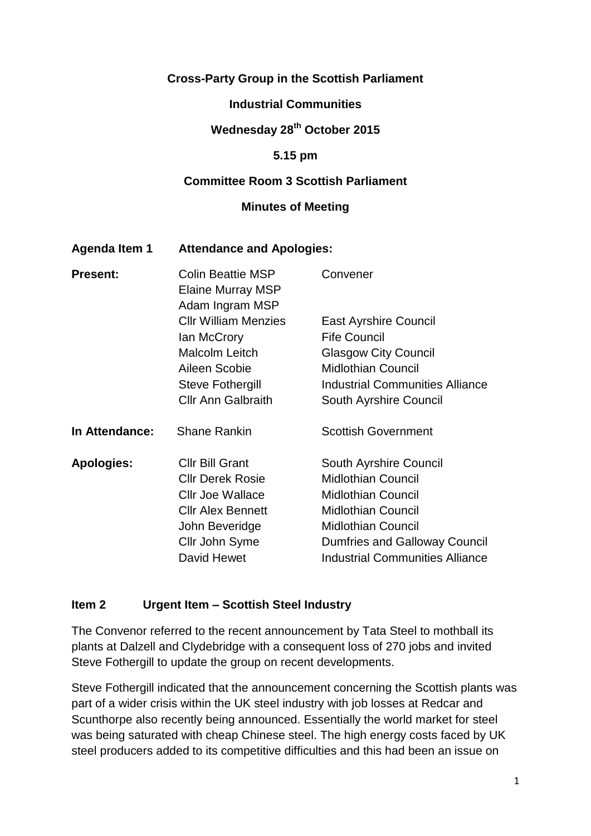### **Cross-Party Group in the Scottish Parliament**

#### **Industrial Communities**

### **Wednesday 28 th October 2015**

#### **5.15 pm**

#### **Committee Room 3 Scottish Parliament**

#### **Minutes of Meeting**

#### **Agenda Item 1 Attendance and Apologies:**

| <b>Present:</b>   | <b>Colin Beattie MSP</b><br><b>Elaine Murray MSP</b><br>Adam Ingram MSP | Convener                               |
|-------------------|-------------------------------------------------------------------------|----------------------------------------|
|                   | <b>Cllr William Menzies</b>                                             | <b>East Ayrshire Council</b>           |
|                   | lan McCrory                                                             | <b>Fife Council</b>                    |
|                   | <b>Malcolm Leitch</b>                                                   | <b>Glasgow City Council</b>            |
|                   | Aileen Scobie                                                           | <b>Midlothian Council</b>              |
|                   | Steve Fothergill                                                        | <b>Industrial Communities Alliance</b> |
|                   | <b>Cllr Ann Galbraith</b>                                               | South Ayrshire Council                 |
| In Attendance:    | <b>Shane Rankin</b>                                                     | <b>Scottish Government</b>             |
| <b>Apologies:</b> | <b>Cllr Bill Grant</b>                                                  | South Ayrshire Council                 |
|                   | <b>CIIr Derek Rosie</b>                                                 | <b>Midlothian Council</b>              |
|                   | <b>Cllr Joe Wallace</b>                                                 | <b>Midlothian Council</b>              |
|                   | <b>CIIr Alex Bennett</b>                                                | <b>Midlothian Council</b>              |
|                   | John Beveridge                                                          | <b>Midlothian Council</b>              |
|                   | Cllr John Syme                                                          | <b>Dumfries and Galloway Council</b>   |
|                   | David Hewet                                                             | <b>Industrial Communities Alliance</b> |

#### **Item 2 Urgent Item – Scottish Steel Industry**

The Convenor referred to the recent announcement by Tata Steel to mothball its plants at Dalzell and Clydebridge with a consequent loss of 270 jobs and invited Steve Fothergill to update the group on recent developments.

Steve Fothergill indicated that the announcement concerning the Scottish plants was part of a wider crisis within the UK steel industry with job losses at Redcar and Scunthorpe also recently being announced. Essentially the world market for steel was being saturated with cheap Chinese steel. The high energy costs faced by UK steel producers added to its competitive difficulties and this had been an issue on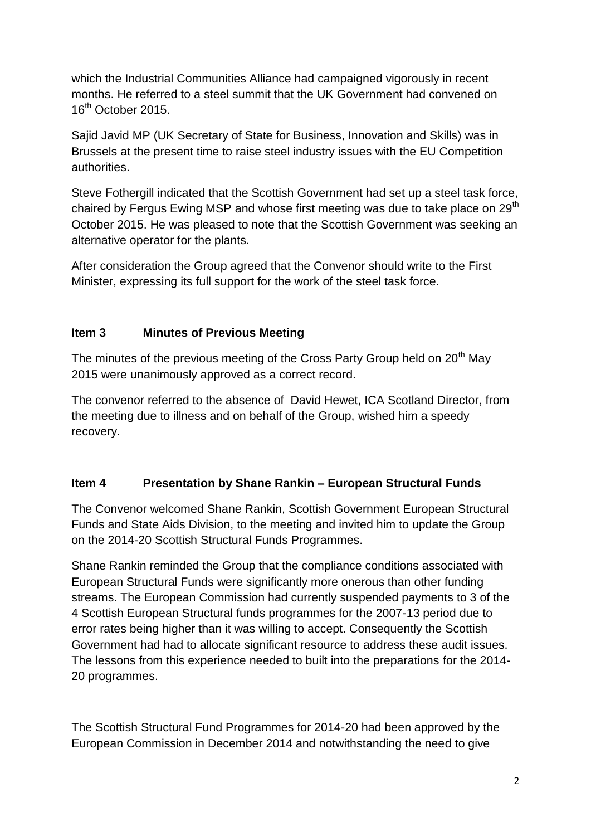which the Industrial Communities Alliance had campaigned vigorously in recent months. He referred to a steel summit that the UK Government had convened on 16th October 2015.

Sajid Javid MP (UK Secretary of State for Business, Innovation and Skills) was in Brussels at the present time to raise steel industry issues with the EU Competition authorities.

Steve Fothergill indicated that the Scottish Government had set up a steel task force, chaired by Fergus Ewing MSP and whose first meeting was due to take place on 29<sup>th</sup> October 2015. He was pleased to note that the Scottish Government was seeking an alternative operator for the plants.

After consideration the Group agreed that the Convenor should write to the First Minister, expressing its full support for the work of the steel task force.

## **Item 3 Minutes of Previous Meeting**

The minutes of the previous meeting of the Cross Party Group held on 20<sup>th</sup> Mav 2015 were unanimously approved as a correct record.

The convenor referred to the absence of David Hewet, ICA Scotland Director, from the meeting due to illness and on behalf of the Group, wished him a speedy recovery.

## **Item 4 Presentation by Shane Rankin – European Structural Funds**

The Convenor welcomed Shane Rankin, Scottish Government European Structural Funds and State Aids Division, to the meeting and invited him to update the Group on the 2014-20 Scottish Structural Funds Programmes.

Shane Rankin reminded the Group that the compliance conditions associated with European Structural Funds were significantly more onerous than other funding streams. The European Commission had currently suspended payments to 3 of the 4 Scottish European Structural funds programmes for the 2007-13 period due to error rates being higher than it was willing to accept. Consequently the Scottish Government had had to allocate significant resource to address these audit issues. The lessons from this experience needed to built into the preparations for the 2014- 20 programmes.

The Scottish Structural Fund Programmes for 2014-20 had been approved by the European Commission in December 2014 and notwithstanding the need to give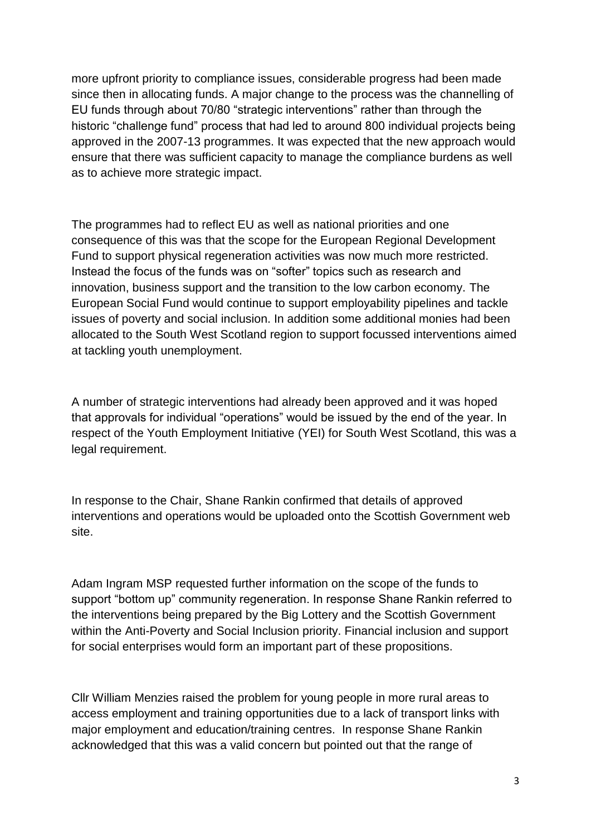more upfront priority to compliance issues, considerable progress had been made since then in allocating funds. A major change to the process was the channelling of EU funds through about 70/80 "strategic interventions" rather than through the historic "challenge fund" process that had led to around 800 individual projects being approved in the 2007-13 programmes. It was expected that the new approach would ensure that there was sufficient capacity to manage the compliance burdens as well as to achieve more strategic impact.

The programmes had to reflect EU as well as national priorities and one consequence of this was that the scope for the European Regional Development Fund to support physical regeneration activities was now much more restricted. Instead the focus of the funds was on "softer" topics such as research and innovation, business support and the transition to the low carbon economy. The European Social Fund would continue to support employability pipelines and tackle issues of poverty and social inclusion. In addition some additional monies had been allocated to the South West Scotland region to support focussed interventions aimed at tackling youth unemployment.

A number of strategic interventions had already been approved and it was hoped that approvals for individual "operations" would be issued by the end of the year. In respect of the Youth Employment Initiative (YEI) for South West Scotland, this was a legal requirement.

In response to the Chair, Shane Rankin confirmed that details of approved interventions and operations would be uploaded onto the Scottish Government web site.

Adam Ingram MSP requested further information on the scope of the funds to support "bottom up" community regeneration. In response Shane Rankin referred to the interventions being prepared by the Big Lottery and the Scottish Government within the Anti-Poverty and Social Inclusion priority. Financial inclusion and support for social enterprises would form an important part of these propositions.

Cllr William Menzies raised the problem for young people in more rural areas to access employment and training opportunities due to a lack of transport links with major employment and education/training centres. In response Shane Rankin acknowledged that this was a valid concern but pointed out that the range of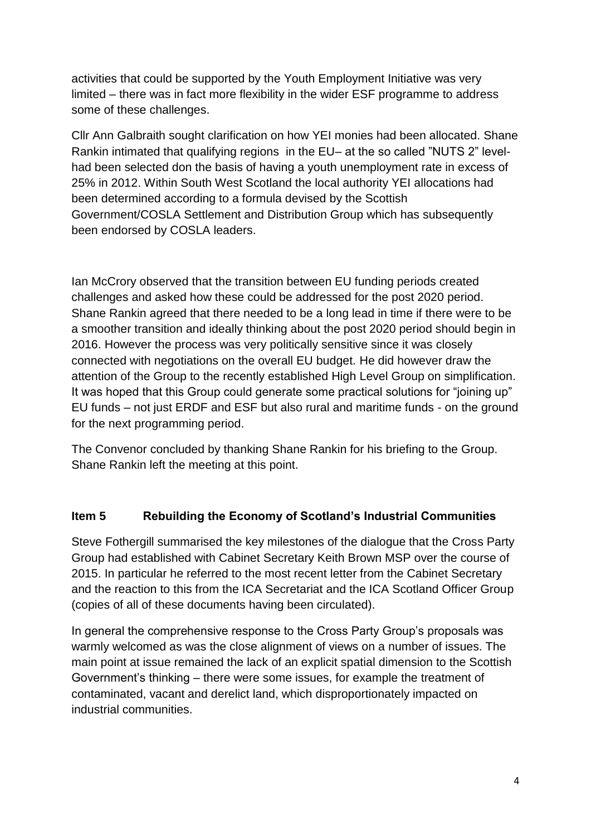activities that could be supported by the Youth Employment Initiative was very limited – there was in fact more flexibility in the wider ESF programme to address some of these challenges.

Cllr Ann Galbraith sought clarification on how YEI monies had been allocated. Shane Rankin intimated that qualifying regions in the EU– at the so called "NUTS 2" levelhad been selected don the basis of having a youth unemployment rate in excess of 25% in 2012. Within South West Scotland the local authority YEI allocations had been determined according to a formula devised by the Scottish Government/COSLA Settlement and Distribution Group which has subsequently been endorsed by COSLA leaders.

Ian McCrory observed that the transition between EU funding periods created challenges and asked how these could be addressed for the post 2020 period. Shane Rankin agreed that there needed to be a long lead in time if there were to be a smoother transition and ideally thinking about the post 2020 period should begin in 2016. However the process was very politically sensitive since it was closely connected with negotiations on the overall EU budget. He did however draw the attention of the Group to the recently established High Level Group on simplification. It was hoped that this Group could generate some practical solutions for "joining up" EU funds – not just ERDF and ESF but also rural and maritime funds - on the ground for the next programming period.

The Convenor concluded by thanking Shane Rankin for his briefing to the Group. Shane Rankin left the meeting at this point.

## **Item 5 Rebuilding the Economy of Scotland's Industrial Communities**

Steve Fothergill summarised the key milestones of the dialogue that the Cross Party Group had established with Cabinet Secretary Keith Brown MSP over the course of 2015. In particular he referred to the most recent letter from the Cabinet Secretary and the reaction to this from the ICA Secretariat and the ICA Scotland Officer Group (copies of all of these documents having been circulated).

In general the comprehensive response to the Cross Party Group's proposals was warmly welcomed as was the close alignment of views on a number of issues. The main point at issue remained the lack of an explicit spatial dimension to the Scottish Government's thinking – there were some issues, for example the treatment of contaminated, vacant and derelict land, which disproportionately impacted on industrial communities.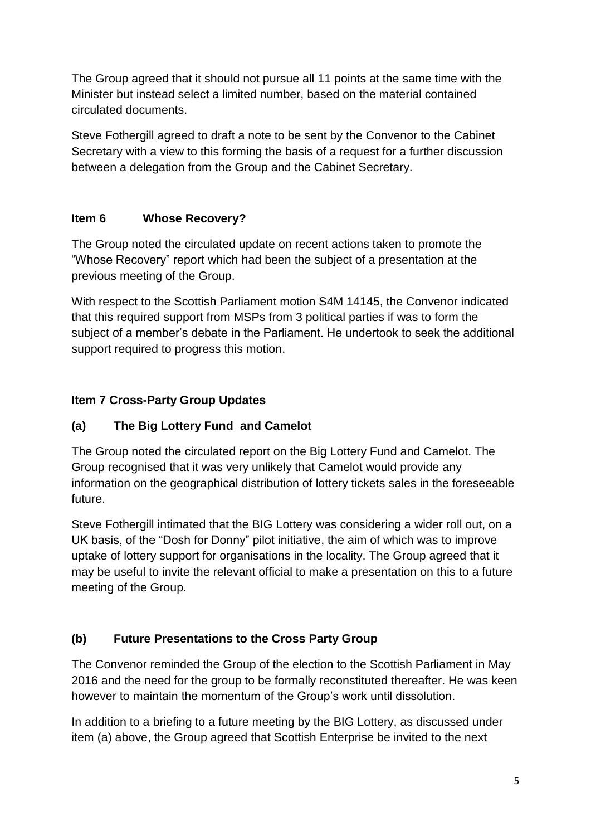The Group agreed that it should not pursue all 11 points at the same time with the Minister but instead select a limited number, based on the material contained circulated documents.

Steve Fothergill agreed to draft a note to be sent by the Convenor to the Cabinet Secretary with a view to this forming the basis of a request for a further discussion between a delegation from the Group and the Cabinet Secretary.

# **Item 6 Whose Recovery?**

The Group noted the circulated update on recent actions taken to promote the "Whose Recovery" report which had been the subject of a presentation at the previous meeting of the Group.

With respect to the Scottish Parliament motion S4M 14145, the Convenor indicated that this required support from MSPs from 3 political parties if was to form the subject of a member's debate in the Parliament. He undertook to seek the additional support required to progress this motion.

# **Item 7 Cross-Party Group Updates**

## **(a) The Big Lottery Fund and Camelot**

The Group noted the circulated report on the Big Lottery Fund and Camelot. The Group recognised that it was very unlikely that Camelot would provide any information on the geographical distribution of lottery tickets sales in the foreseeable future.

Steve Fothergill intimated that the BIG Lottery was considering a wider roll out, on a UK basis, of the "Dosh for Donny" pilot initiative, the aim of which was to improve uptake of lottery support for organisations in the locality. The Group agreed that it may be useful to invite the relevant official to make a presentation on this to a future meeting of the Group.

## **(b) Future Presentations to the Cross Party Group**

The Convenor reminded the Group of the election to the Scottish Parliament in May 2016 and the need for the group to be formally reconstituted thereafter. He was keen however to maintain the momentum of the Group's work until dissolution.

In addition to a briefing to a future meeting by the BIG Lottery, as discussed under item (a) above, the Group agreed that Scottish Enterprise be invited to the next